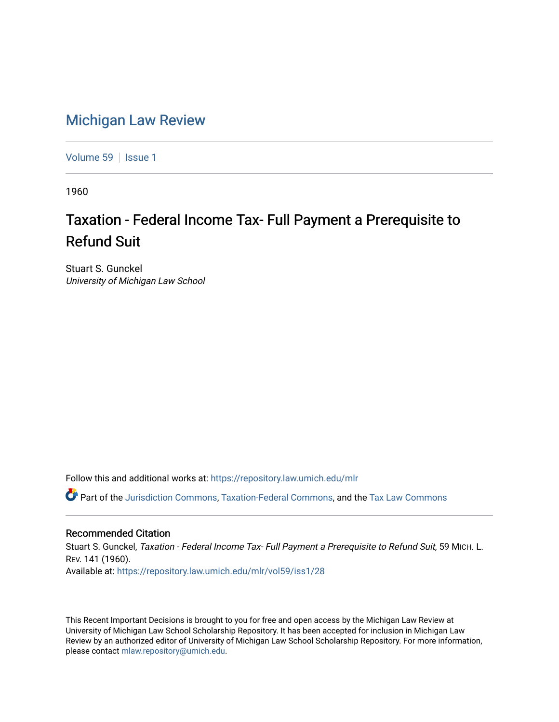## [Michigan Law Review](https://repository.law.umich.edu/mlr)

[Volume 59](https://repository.law.umich.edu/mlr/vol59) | [Issue 1](https://repository.law.umich.edu/mlr/vol59/iss1)

1960

## Taxation - Federal Income Tax- Full Payment a Prerequisite to Refund Suit

Stuart S. Gunckel University of Michigan Law School

Follow this and additional works at: [https://repository.law.umich.edu/mlr](https://repository.law.umich.edu/mlr?utm_source=repository.law.umich.edu%2Fmlr%2Fvol59%2Fiss1%2F28&utm_medium=PDF&utm_campaign=PDFCoverPages) 

Part of the [Jurisdiction Commons](http://network.bepress.com/hgg/discipline/850?utm_source=repository.law.umich.edu%2Fmlr%2Fvol59%2Fiss1%2F28&utm_medium=PDF&utm_campaign=PDFCoverPages), [Taxation-Federal Commons,](http://network.bepress.com/hgg/discipline/881?utm_source=repository.law.umich.edu%2Fmlr%2Fvol59%2Fiss1%2F28&utm_medium=PDF&utm_campaign=PDFCoverPages) and the [Tax Law Commons](http://network.bepress.com/hgg/discipline/898?utm_source=repository.law.umich.edu%2Fmlr%2Fvol59%2Fiss1%2F28&utm_medium=PDF&utm_campaign=PDFCoverPages) 

## Recommended Citation

Stuart S. Gunckel, Taxation - Federal Income Tax- Full Payment a Prerequisite to Refund Suit, 59 MICH. L. REV. 141 (1960). Available at: [https://repository.law.umich.edu/mlr/vol59/iss1/28](https://repository.law.umich.edu/mlr/vol59/iss1/28?utm_source=repository.law.umich.edu%2Fmlr%2Fvol59%2Fiss1%2F28&utm_medium=PDF&utm_campaign=PDFCoverPages) 

This Recent Important Decisions is brought to you for free and open access by the Michigan Law Review at University of Michigan Law School Scholarship Repository. It has been accepted for inclusion in Michigan Law Review by an authorized editor of University of Michigan Law School Scholarship Repository. For more information, please contact [mlaw.repository@umich.edu.](mailto:mlaw.repository@umich.edu)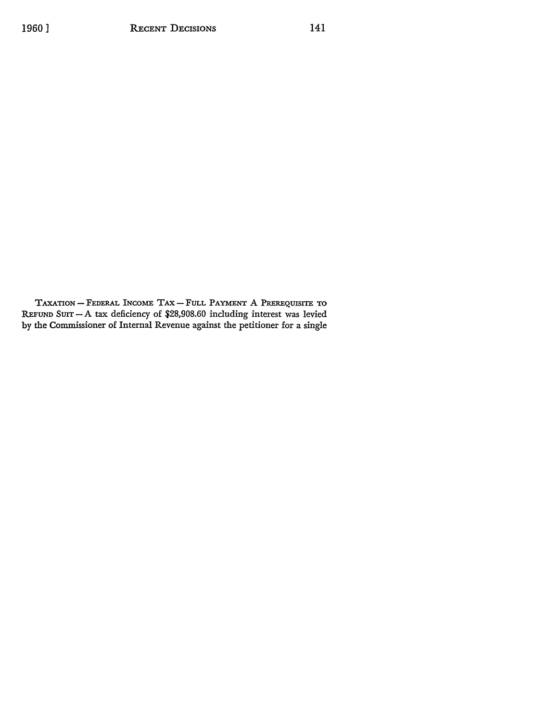TAXATION - FEDERAL INCOME TAX- FULL PAYMENT A PREREQUISITE TO REFUND SUIT - A tax deficiency of \$28,908.60 including interest was levied by the Commissioner of Internal Revenue against the petitioner for a single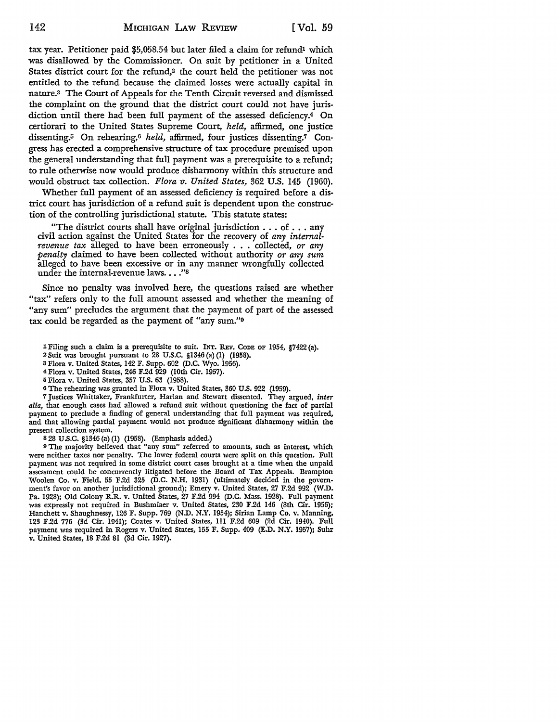tax year. Petitioner paid \$5,058.54 but later filed a claim for refund<sup>1</sup> which was disallowed by the Commissioner. On suit by petitioner in a United States district court for the refund,<sup>2</sup> the court held the petitioner was not entitled to the refund because the claimed losses were actually capital in nature.3 The Court of Appeals for the Tenth Circuit reversed and dismissed the complaint on the ground that the district court could not have jurisdiction until there had been full payment of the assessed deficiency.4 **On**  certiorari to the United States Supreme Court, *held,* affirmed, one justice dissenting.5 On rehearing,6 *held,* affirmed, four justices dissenting.7 Congress has erected a comprehensive structure of tax procedure premised upon the general understanding that full payment was a prerequisite to a refund; to rule otherwise now would produce disharmony within this structure and would obstruct tax collection. *Flora v. United States,* 362 U.S. 145 (1960).

Whether full payment of an assessed deficiency is required before a district court has jurisdiction of a refund suit is dependent upon the construction of the controlling jurisdictional statute. This statute states:

"The district courts shall have original jurisdiction ... of ... any civil action against the United States for the recovery of *any internalrevenue tax* alleged to have been erroneously . . . collected, *or any penalty* claimed to have been collected without authority *or any sum*  alleged to have been excessive or in any manner wrongfully collected under the internal-revenue laws...."<sup>8</sup>

Since no penalty was involved here, the questions raised are whether "tax" refers only to the full amount assessed and whether the meaning of "any sum" precludes the argument that the payment of part of the assessed tax could be regarded as the payment of "any sum."9

- lFiling such a claim is a prerequisite to suit. INT. REv. CODE OF 1954, §7422(a).
- 2 Suit was brought pursuant to 28 U.S.C. §1346 (a) (I) (1958).
- 3 Flora v. United States, 142 F. Supp. 602 (D.C. Wyo. 1956).
- <sup>4</sup>Flora v. United States, 246 F.2d 929 (10th Cir. 1957).
- 5 Flora v. United States, 357 U.S. 63 (1958).
- <sup>6</sup>The rehearing was granted in Flora v. United States, 360 U.S. 922 (1959).

7 Justices Whittaker, Frankfurter, Harlan and Stewart dissented. They argued, *inter alia,* that enough cases had allowed a refund suit without questioning the fact of partial payment to preclude a finding of general understanding that full payment was required, and that allowing partial payment would not produce significant disharmony within the present collection system.

s 28 U.S.C. §1346 (a) (I) (1958). (Emphasis added.)

<sup>9</sup>The majority believed that "any sum" referred to amounts, such as interest, which were neither taxes nor penalty. The lower federal courts were split on this question. Full payment was not required in some district court cases brought at a time when the unpaid assessment could be concurrently litigated before the Board of Tax Appeals. Brampton Woolen Co. v. Field, 55 F.2d 325 (D.C. N.H. 1931) (ultimately decided in the government's favor on another jurisdictional ground); Emery v. United States, 27 F.2d 992 (W.D. Pa. 1928); Old Colony R.R. v. United States, 27 F.2d 994 (D.C. Mass. 1928). Full payment was expressly not required in Bushmiaer v. United States, 230 F.2d 146 (8th Cir. 1956); Hanchett v. Shaughnessy, 126 F. Supp. 769 (N.D. N.Y. 1954); Sirian Lamp Co. v. Manning, 123 F.2d 776 (3d Cir. 1941); Coates v. United States, 111 F.2d 609 (2d Cir. 1940). Full payment was required in Rogers v. United States, 155 F. Supp. 409 (E.D. N.Y. 1957); Suhr v. United States, 18 F.2d 81 (3d Cir. 1927).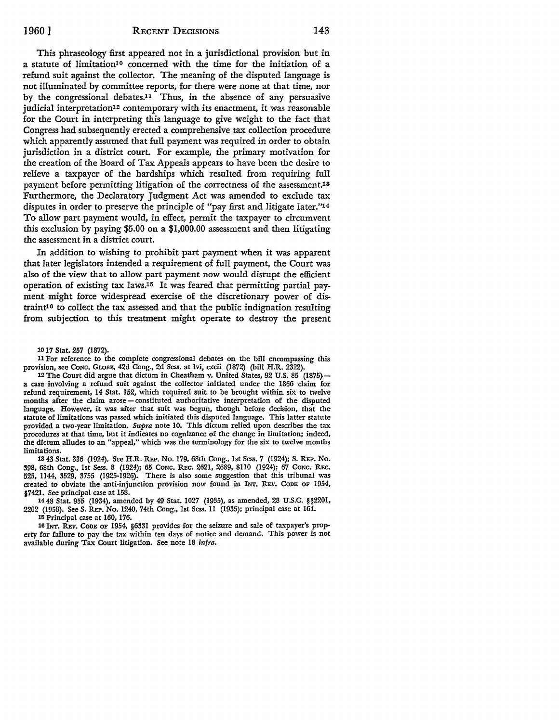This phraseology first appeared not in a jurisdictional provision but in a statute of limitation10 concerned with the time for the initiation of a refund suit against the collector. The meaning of the disputed language is not illuminated by committee reports, for there were none at that time, nor by the congressional debates.11 Thus, in the absence of any persuasive judicial interpretation12 contemporary with its enactment, it was reasonable for the Court in interpreting this language to give weight to the fact that Congress had subsequently erected a comprehensive tax collection procedure which apparently assumed that full payment was required in order to obtain jurisdiction in a district court. For example, the primary motivation for the creation of the Board of Tax Appeals appears to have been the desire to relieve a taxpayer of the hardships which resulted from requiring full payment before permitting litigation of the correctness of the assessment.13 Furthermore, the Declaratory Judgment Act was amended to exclude tax disputes in order to preserve the principle of "pay first and litigate later."<sup>14</sup> To allow part payment would, in effect, permit the taxpayer to circumvent this exclusion by paying \$5.00 on a \$1,000.00 assessment and then litigating the assessment in a district court.

In addition to wishing to prohibit part payment when it was apparent that later legislators intended a requirement of full payment, the Court was also of the view that to allow part payment now would disrupt the efficient operation of existing tax laws.15 It was feared that permitting partial payment might force widespread exercise of the discretionary power of distraint10 to collect the tax assessed and that the public indignation resulting from subjection to this treatment might operate to destroy the present

10 17 Stat. 257 (1872).

<sup>11</sup>For reference to the complete congressional debates on the bill encompassing this provision, see CoNG. GLOBE, 42d Cong., 2d Sess. at lvi, cxcii (1872) (bill H.R. 2322).

12The Court did argue that dictum in Cheatham v. United States, 92 U.S. 85 (1875) a case involving a refund suit against the collector initiated under the 1866 claim for refund requirement, 14 Stat. 152, which required suit to be brought within six to twelve months after the claim arose-constituted authoritative interpretation of the disputed language. However, it was after that suit was begun, though before decision, that the statute of limitations was passed which initiated this disputed language. This latter statute provided a two-year limitation. Supra note IO. This dictum relied upon describes the tax procedures at that time, but it indicates no cognizance of the change in limitation; indeed, the dictum alludes to an "appeal," which was the terminology for the six to twelve months limitations.

13 43 Stat. 336 (1924). See H.R. REP. No. 179, 68th Cong., 1st Sess. 7 (1924); S. REP. No. !198, 68th Cong., 1st Sess. 8 (1924); 65 CONG. R.Ec. 2621, 2689, 8IIO (1924); 67 CONG. R.Ec. 525, II44, 3529, 3755 (1925-1926). There is also some suggestion that this tribunal was created to obviate the anti-injunction provision now found in INT. REV. CoDE OF 1954, §7421. See principal case at 158.

14 48 Stat. 955 (1934), amended by 49 Stat. 1027 (1935), as amended, 28 U.S.C. §§2201, 2202 (1958). See S. REP. No. 1240, 74th Cong., 1st Sess. 11 (1935); principal case at 164.

15 Principal case at 160, 176.

16 INT. REV. CODE OF 1954, §6331 provides for the seizure and sale of taxpayer's property for failure to pay the tax within ten days of notice and demand. This power is not available during Tax Court litigation. See note 18 infra.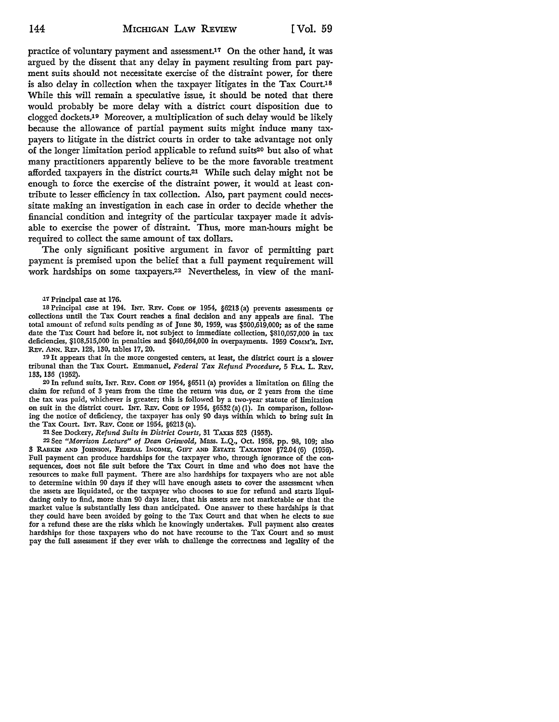practice of voluntary payment and assessment.17 On the other hand, it was argued by the dissent that any delay in payment resulting from part payment suits should not necessitate exercise of the distraint power, for there is also delay in collection when the taxpayer litigates in the Tax Court.18 While this will remain a speculative issue, it should be noted that there would probably be more delay with a district court disposition due to clogged dockets.19 Moreover, a multiplication of such delay would be likely because the allowance of partial payment suits might induce many taxpayers to litigate in the district courts in order to take advantage not only of the longer limitation period applicable to refund suits20 but also of what many practitioners apparently believe to be the more favorable treatment afforded taxpayers in the district courts.21 While such delay might not be enough to force the exercise of the distraint power, it would at least contribute to lesser efficiency in tax collection. Also, part payment could necessitate making an investigation in each case in order to decide whether the financial condition and integrity of the particular taxpayer made it advisable to exercise the power of distraint. Thus, more man-hours might be required to collect the same amount of tax dollars.

The only significant positive argument in favor of permitting part payment is premised upon the belief that a full payment requirement will work hardships on some taxpayers.22 Nevertheless, in view of the mani-

17 Principal case at 176.

18 Principal case at 194. INT. REv. CoDE OF 1954, §6213 (a) prevents assessments or collections until the Tax Court reaches a final decision and any appeals are final. The total amount of refund suits pending as of June 30, 1959, was \$500,619,000; as of the same date the Tax Court had before it, not subject to immediate collection, \$810,057,000 in tax deficiencies, \$108,515,000 in penalties and \$640,664,000 in overpayments. 1959 COMM'R. INT. REv. ANN. REP. 128, 130, tables 17, 20.

19 It appears that in the more congested centers, at least, the district court is a slower tribunal than the Tax Court. Emmanuel, *Federal Tax Refund Procedure,* 5 Fu. L. REv. 133, 136 (1952).

20 In refund suits, INT. REv. CODE OF 1954, §6511 (a) provides a limitation on filing the claim for refund of 3 years from the time the return was due, or 2 years from the time the tax was paid, whichever is greater; this is followed by a two-year statute of limitation on suit in the district court. INT. REv. CoDE OF 1954, §6532 (a) (1). In comparison, following the notice of deficiency, the taxpayer has only 90 days within which to bring suit in the Tax Court. INT. REv. CODE OF 1954, §6213 (a).

21 See Dockery, *Refund Suits in District Courts,* 31 TAXES 523 (1953).

22 See *"Morrison Lecture" of Dean Griswold,* Mass. L.Q., Oct. 1958, pp. 98, 109; also 3 RABKIN AND JOHNSON, FEDERAL INCOME, GIFT AND ESTATE TAXATION §72.04 (6) (1956). Full payment can produce hardships for the taxpayer who, through ignorance of the consequences, does not file suit before the Tax Court in time and who does not have the resources to make full payment. There are also hardships for taxpayers who are not able to determine within 90 days if they will have enough assets to cover the assessment when the assets are liquidated, or the taxpayer who chooses to sue for refund and starts liquidating only to find, more than 90 days later, that his assets are not marketable or that the market value is substantially less than anticipated. One answer to these hardships is that they could have been avoided by going to the Tax Court and that when he elects to sue for a refund these are the risks which he knowingly undertakes. Full payment also creates hardships for those taxpayers who do not have recourse to the Tax Court and so must pay the full assessment if they ever wish to challenge the correctness and legality of the